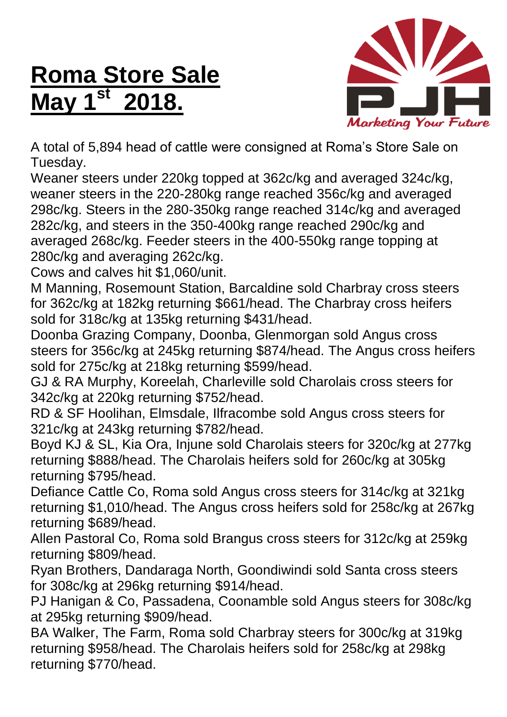## **Roma Store Sale May 1st 2018.**



A total of 5,894 head of cattle were consigned at Roma's Store Sale on Tuesday.

Weaner steers under 220kg topped at 362c/kg and averaged 324c/kg, weaner steers in the 220-280kg range reached 356c/kg and averaged 298c/kg. Steers in the 280-350kg range reached 314c/kg and averaged 282c/kg, and steers in the 350-400kg range reached 290c/kg and averaged 268c/kg. Feeder steers in the 400-550kg range topping at 280c/kg and averaging 262c/kg.

Cows and calves hit \$1,060/unit.

M Manning, Rosemount Station, Barcaldine sold Charbray cross steers for 362c/kg at 182kg returning \$661/head. The Charbray cross heifers sold for 318c/kg at 135kg returning \$431/head.

Doonba Grazing Company, Doonba, Glenmorgan sold Angus cross steers for 356c/kg at 245kg returning \$874/head. The Angus cross heifers sold for 275c/kg at 218kg returning \$599/head.

GJ & RA Murphy, Koreelah, Charleville sold Charolais cross steers for 342c/kg at 220kg returning \$752/head.

RD & SF Hoolihan, Elmsdale, Ilfracombe sold Angus cross steers for 321c/kg at 243kg returning \$782/head.

Boyd KJ & SL, Kia Ora, Injune sold Charolais steers for 320c/kg at 277kg returning \$888/head. The Charolais heifers sold for 260c/kg at 305kg returning \$795/head.

Defiance Cattle Co, Roma sold Angus cross steers for 314c/kg at 321kg returning \$1,010/head. The Angus cross heifers sold for 258c/kg at 267kg returning \$689/head.

Allen Pastoral Co, Roma sold Brangus cross steers for 312c/kg at 259kg returning \$809/head.

Ryan Brothers, Dandaraga North, Goondiwindi sold Santa cross steers for 308c/kg at 296kg returning \$914/head.

PJ Hanigan & Co, Passadena, Coonamble sold Angus steers for 308c/kg at 295kg returning \$909/head.

BA Walker, The Farm, Roma sold Charbray steers for 300c/kg at 319kg returning \$958/head. The Charolais heifers sold for 258c/kg at 298kg returning \$770/head.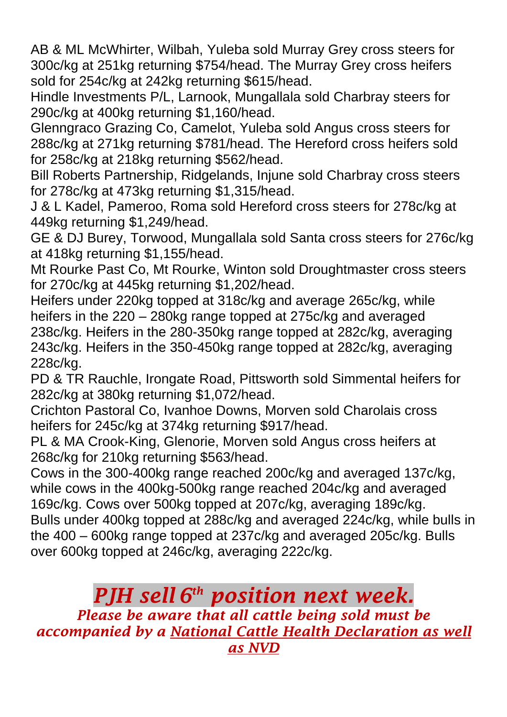AB & ML McWhirter, Wilbah, Yuleba sold Murray Grey cross steers for 300c/kg at 251kg returning \$754/head. The Murray Grey cross heifers sold for 254c/kg at 242kg returning \$615/head.

Hindle Investments P/L, Larnook, Mungallala sold Charbray steers for 290c/kg at 400kg returning \$1,160/head.

Glenngraco Grazing Co, Camelot, Yuleba sold Angus cross steers for 288c/kg at 271kg returning \$781/head. The Hereford cross heifers sold for 258c/kg at 218kg returning \$562/head.

Bill Roberts Partnership, Ridgelands, Injune sold Charbray cross steers for 278c/kg at 473kg returning \$1,315/head.

J & L Kadel, Pameroo, Roma sold Hereford cross steers for 278c/kg at 449kg returning \$1,249/head.

GE & DJ Burey, Torwood, Mungallala sold Santa cross steers for 276c/kg at 418kg returning \$1,155/head.

Mt Rourke Past Co, Mt Rourke, Winton sold Droughtmaster cross steers for 270c/kg at 445kg returning \$1,202/head.

Heifers under 220kg topped at 318c/kg and average 265c/kg, while heifers in the 220 – 280kg range topped at 275c/kg and averaged 238c/kg. Heifers in the 280-350kg range topped at 282c/kg, averaging 243c/kg. Heifers in the 350-450kg range topped at 282c/kg, averaging 228c/kg.

PD & TR Rauchle, Irongate Road, Pittsworth sold Simmental heifers for 282c/kg at 380kg returning \$1,072/head.

Crichton Pastoral Co, Ivanhoe Downs, Morven sold Charolais cross heifers for 245c/kg at 374kg returning \$917/head.

PL & MA Crook-King, Glenorie, Morven sold Angus cross heifers at 268c/kg for 210kg returning \$563/head.

Cows in the 300-400kg range reached 200c/kg and averaged 137c/kg, while cows in the 400kg-500kg range reached 204c/kg and averaged 169c/kg. Cows over 500kg topped at 207c/kg, averaging 189c/kg. Bulls under 400kg topped at 288c/kg and averaged 224c/kg, while bulls in the 400 – 600kg range topped at 237c/kg and averaged 205c/kg. Bulls over 600kg topped at 246c/kg, averaging 222c/kg.

## *PJH sell 6 th position next week.*

*Please be aware that all cattle being sold must be accompanied by a National Cattle Health Declaration as well as NVD*